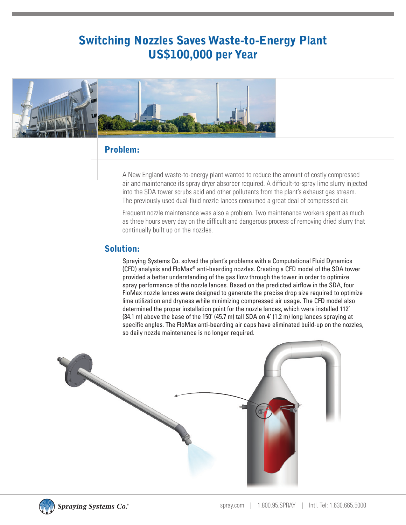# Switching Nozzles Saves Waste-to-Energy Plant US\$100,000 per Year



### Problem:

A New England waste-to-energy plant wanted to reduce the amount of costly compressed air and maintenance its spray dryer absorber required. A difficult-to-spray lime slurry injected into the SDA tower scrubs acid and other pollutants from the plant's exhaust gas stream. The previously used dual-fluid nozzle lances consumed a great deal of compressed air.

Frequent nozzle maintenance was also a problem. Two maintenance workers spent as much as three hours every day on the difficult and dangerous process of removing dried slurry that continually built up on the nozzles.

### Solution:

Spraying Systems Co. solved the plant's problems with a Computational Fluid Dynamics (CFD) analysis and FloMax® anti-bearding nozzles. Creating a CFD model of the SDA tower provided a better understanding of the gas flow through the tower in order to optimize spray performance of the nozzle lances. Based on the predicted airflow in the SDA, four FloMax nozzle lances were designed to generate the precise drop size required to optimize lime utilization and dryness while minimizing compressed air usage. The CFD model also determined the proper installation point for the nozzle lances, which were installed 112' (34.1 m) above the base of the 150' (45.7 m) tall SDA on 4' (1.2 m) long lances spraying at specific angles. The FloMax anti-bearding air caps have eliminated build-up on the nozzles, so daily nozzle maintenance is no longer required.





**Spraying Systems Co.**®